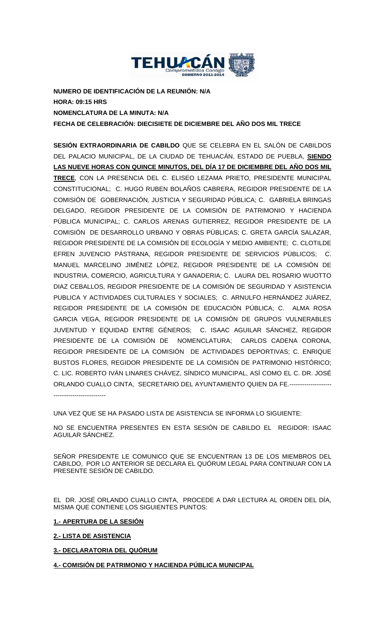

**NUMERO DE IDENTIFICACIÓN DE LA REUNIÓN: N/A HORA: 09:15 HRS NOMENCLATURA DE LA MINUTA: N/A FECHA DE CELEBRACIÓN: DIECISIETE DE DICIEMBRE DEL AÑO DOS MIL TRECE**

**SESIÓN EXTRAORDINARIA DE CABILDO** QUE SE CELEBRA EN EL SALÓN DE CABILDOS DEL PALACIO MUNICIPAL, DE LA CIUDAD DE TEHUACÁN, ESTADO DE PUEBLA, **SIENDO LAS NUEVE HORAS CON QUINCE MINUTOS, DEL DÍA 17 DE DICIEMBRE DEL AÑO DOS MIL TRECE**, CON LA PRESENCIA DEL C. ELISEO LEZAMA PRIETO, PRESIDENTE MUNICIPAL CONSTITUCIONAL; C. HUGO RUBEN BOLAÑOS CABRERA, REGIDOR PRESIDENTE DE LA COMISIÓN DE GOBERNACIÓN, JUSTICIA Y SEGURIDAD PÚBLICA; C. GABRIELA BRINGAS DELGADO, REGIDOR PRESIDENTE DE LA COMISIÓN DE PATRIMONIO Y HACIENDA PÚBLICA MUNICIPAL; C. CARLOS ARENAS GUTIERREZ, REGIDOR PRESIDENTE DE LA COMISIÓN DE DESARROLLO URBANO Y OBRAS PÚBLICAS; C. GRETA GARCÍA SALAZAR, REGIDOR PRESIDENTE DE LA COMISIÓN DE ECOLOGÍA Y MEDIO AMBIENTE; C. CLOTILDE EFREN JUVENCIO PÁSTRANA, REGIDOR PRESIDENTE DE SERVICIOS PÚBLICOS; C. MANUEL MARCELINO JIMÉNEZ LÓPEZ, REGIDOR PRESIDENTE DE LA COMISIÓN DE INDUSTRIA, COMERCIO, AGRICULTURA Y GANADERIA; C. LAURA DEL ROSARIO WUOTTO DIAZ CEBALLOS, REGIDOR PRESIDENTE DE LA COMISIÓN DE SEGURIDAD Y ASISTENCIA PUBLICA Y ACTIVIDADES CULTURALES Y SOCIALES; C. ARNULFO HERNÁNDEZ JUÁREZ, REGIDOR PRESIDENTE DE LA COMISIÓN DE EDUCACIÓN PÚBLICA; C. ALMA ROSA GARCIA VEGA, REGIDOR PRESIDENTE DE LA COMISIÓN DE GRUPOS VULNERABLES JUVENTUD Y EQUIDAD ENTRE GÉNEROS; C. ISAAC AGUILAR SÁNCHEZ, REGIDOR PRESIDENTE DE LA COMISIÓN DE NOMENCLATURA; CARLOS CADENA CORONA, REGIDOR PRESIDENTE DE LA COMISIÓN DE ACTIVIDADES DEPORTIVAS; C. ENRIQUE BUSTOS FLORES, REGIDOR PRESIDENTE DE LA COMISIÓN DE PATRIMONIO HISTÓRICO; C. LIC. ROBERTO IVÁN LINARES CHÁVEZ, SÍNDICO MUNICIPAL, ASÍ COMO EL C. DR. JOSÉ ORLANDO CUALLO CINTA, SECRETARIO DEL AYUNTAMIENTO QUIEN DA FE.-------------------- -------------------------

UNA VEZ QUE SE HA PASADO LISTA DE ASISTENCIA SE INFORMA LO SIGUIENTE:

NO SE ENCUENTRA PRESENTES EN ESTA SESIÓN DE CABILDO EL REGIDOR: ISAAC AGUILAR SÁNCHEZ.

SEÑOR PRESIDENTE LE COMUNICO QUE SE ENCUENTRAN 13 DE LOS MIEMBROS DEL CABILDO, POR LO ANTERIOR SE DECLARA EL QUÓRUM LEGAL PARA CONTINUAR CON LA PRESENTE SESIÓN DE CABILDO.

EL DR. JOSÉ ORLANDO CUALLO CINTA, PROCEDE A DAR LECTURA AL ORDEN DEL DÍA, MISMA QUE CONTIENE LOS SIGUIENTES PUNTOS:

# **1.- APERTURA DE LA SESIÓN**

**2.- LISTA DE ASISTENCIA**

**3.- DECLARATORIA DEL QUÓRUM**

**4.- COMISIÓN DE PATRIMONIO Y HACIENDA PÚBLICA MUNICIPAL**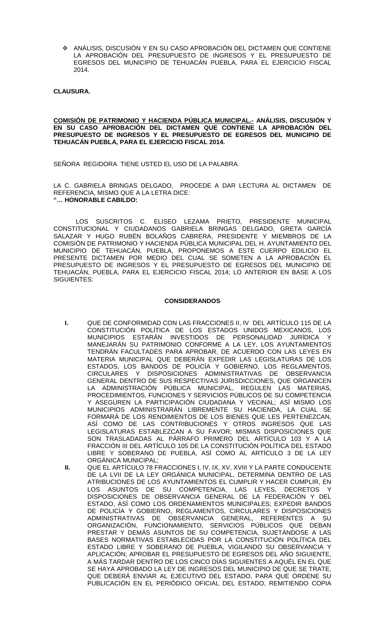ANÁLISIS, DISCUSIÓN Y EN SU CASO APROBACIÓN DEL DICTAMEN QUE CONTIENE LA APROBACIÓN DEL PRESUPUESTO DE INGRESOS Y EL PRESUPUESTO DE EGRESOS DEL MUNICIPIO DE TEHUACÁN PUEBLA, PARA EL EJERCICIO FISCAL 2014.

**CLAUSURA.**

### **COMISIÓN DE PATRIMONIO Y HACIENDA PÚBLICA MUNICIPAL.- ANÁLISIS, DISCUSIÓN Y EN SU CASO APROBACIÓN DEL DICTAMEN QUE CONTIENE LA APROBACIÓN DEL PRESUPUESTO DE INGRESOS Y EL PRESUPUESTO DE EGRESOS DEL MUNICIPIO DE TEHUACÁN PUEBLA, PARA EL EJERCICIO FISCAL 2014.**

SEÑORA REGIDORA TIENE USTED EL USO DE LA PALABRA.

LA C. GABRIELA BRINGAS DELGADO, PROCEDE A DAR LECTURA AL DICTAMEN DE REFERENCIA, MISMO QUE A LA LETRA DICE: **"… HONORABLE CABILDO:**

LOS SUSCRITOS C. ELISEO LEZAMA PRIETO, PRESIDENTE MUNICIPAL CONSTITUCIONAL Y CIUDADANOS GABRIELA BRINGAS DELGADO, GRETA GARCÍA SALAZAR Y HUGO RUBÉN BOLAÑOS CABRERA, PRESIDENTE Y MIEMBROS DE LA COMISIÓN DE PATRIMONIO Y HACIENDA PÚBLICA MUNICIPAL DEL H. AYUNTAMIENTO DEL MUNICIPIO DE TEHUACÁN, PUEBLA, PROPONEMOS A ESTE CUERPO EDILICIO EL PRESENTE DICTAMEN POR MEDIO DEL CUAL SE SOMETEN A LA APROBACIÓN EL PRESUPUESTO DE INGRESOS Y EL PRESUPUESTO DE EGRESOS DEL MUNICIPIO DE TEHUACÁN, PUEBLA, PARA EL EJERCICIO FISCAL 2014; LO ANTERIOR EN BASE A LOS SIGUIENTES:

## **CONSIDERANDOS**

- **I.** QUE DE CONFORMIDAD CON LAS FRACCIONES II, IV DEL ARTÍCULO 115 DE LA CONSTITUCIÓN POLÍTICA DE LOS ESTADOS UNIDOS MEXICANOS, LOS MUNICIPIOS ESTARÁN INVESTIDOS DE PERSONALIDAD JURÍDICA Y MANEJARÁN SU PATRIMONIO CONFORME A LA LEY, LOS AYUNTAMIENTOS TENDRÁN FACULTADES PARA APROBAR, DE ACUERDO CON LAS LEYES EN MATERIA MUNICIPAL QUE DEBERÁN EXPEDIR LAS LEGISLATURAS DE LOS ESTADOS, LOS BANDOS DE POLICÍA Y GOBIERNO, LOS REGLAMENTOS, CIRCULARES Y DISPOSICIONES ADMINISTRATIVAS DE OBSERVANCIA GENERAL DENTRO DE SUS RESPECTIVAS JURISDICCIONES, QUE ORGANICEN LA ADMINISTRACIÓN PÚBLICA MUNICIPAL, REGULEN LAS MATERIAS, PROCEDIMIENTOS, FUNCIONES Y SERVICIOS PÚBLICOS DE SU COMPETENCIA Y ASEGUREN LA PARTICIPACIÓN CIUDADANA Y VECINAL; ASÍ MISMO LOS MUNICIPIOS ADMINISTRARÁN LIBREMENTE SU HACIENDA, LA CUAL SE FORMARÁ DE LOS RENDIMIENTOS DE LOS BIENES QUE LES PERTENEZCAN, ASÍ COMO DE LAS CONTRIBUCIONES Y OTROS INGRESOS QUE LAS LEGISLATURAS ESTABLEZCAN A SU FAVOR; MISMAS DISPOSICIONES QUE SON TRASLADADAS AL PÁRRAFO PRIMERO DEL ARTÍCULO 103 Y A LA FRACCIÓN III DEL ARTÍCULO 105 DE LA CONSTITUCIÓN POLÍTICA DEL ESTADO LIBRE Y SOBERANO DE PUEBLA, ASÍ COMO AL ARTÍCULO 3 DE LA LEY ORGÁNICA MUNICIPAL;
- **II.** QUE EL ARTÍCULO 78 FRACCIONES I, IV, IX, XV, XVIII Y LA PARTE CONDUCENTE DE LA LVII DE LA LEY ORGÁNICA MUNICIPAL, DETERMINA DENTRO DE LAS ATRIBUCIONES DE LOS AYUNTAMIENTOS EL CUMPLIR Y HACER CUMPLIR, EN LOS ASUNTOS DE SU COMPETENCIA, LAS LEYES, DECRETOS DISPOSICIONES DE OBSERVANCIA GENERAL DE LA FEDERACIÓN Y DEL ESTADO, ASÍ COMO LOS ORDENAMIENTOS MUNICIPALES; EXPEDIR BANDOS DE POLICÍA Y GOBIERNO, REGLAMENTOS, CIRCULARES Y DISPOSICIONES ADMINISTRATIVAS DE OBSERVANCIA GENERAL, REFERENTES A SU ORGANIZACIÓN, FUNCIONAMIENTO, SERVICIOS PÚBLICOS QUE DEBAN PRESTAR Y DEMÁS ASUNTOS DE SU COMPETENCIA, SUJETÁNDOSE A LAS BASES NORMATIVAS ESTABLECIDAS POR LA CONSTITUCIÓN POLÍTICA DEL ESTADO LIBRE Y SOBERANO DE PUEBLA, VIGILANDO SU OBSERVANCIA Y APLICACIÓN; APROBAR EL PRESUPUESTO DE EGRESOS DEL AÑO SIGUIENTE, A MÁS TARDAR DENTRO DE LOS CINCO DÍAS SIGUIENTES A AQUÉL EN EL QUE SE HAYA APROBADO LA LEY DE INGRESOS DEL MUNICIPIO DE QUE SE TRATE, QUE DEBERÁ ENVIAR AL EJECUTIVO DEL ESTADO, PARA QUE ORDENE SU PUBLICACIÓN EN EL PERIÓDICO OFICIAL DEL ESTADO, REMITIENDO COPIA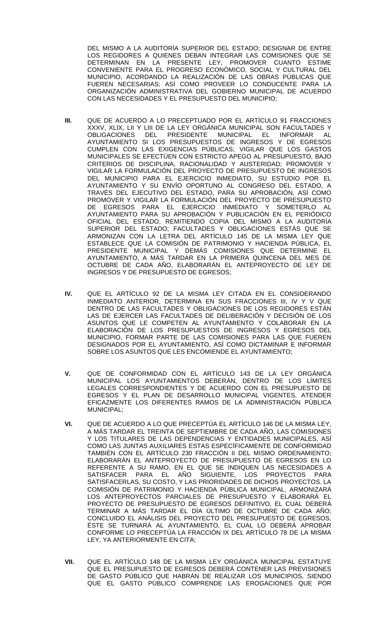DEL MISMO A LA AUDITORÍA SUPERIOR DEL ESTADO; DESIGNAR DE ENTRE LOS REGIDORES A QUIENES DEBAN INTEGRAR LAS COMISIONES QUE SE DETERMINAN EN LA PRESENTE LEY, PROMOVER CUANTO ESTIME CONVENIENTE PARA EL PROGRESO ECONÓMICO, SOCIAL Y CULTURAL DEL MUNICIPIO, ACORDANDO LA REALIZACIÓN DE LAS OBRAS PÚBLICAS QUE FUEREN NECESARIAS; ASÍ COMO PROVEER LO CONDUCENTE PARA LA ORGANIZACIÓN ADMINISTRATIVA DEL GOBIERNO MUNICIPAL DE ACUERDO CON LAS NECESIDADES Y EL PRESUPUESTO DEL MUNICIPIO;

- **III.** QUE DE ACUERDO A LO PRECEPTUADO POR EL ARTÍCULO 91 FRACCIONES XXXV, XLIX, LII Y LIII DE LA LEY ORGÁNICA MUNICIPAL SON FACULTADES Y OBLIGACIONES DEL PRESIDENTE MUNICIPAL EL INFORMAR AYUNTAMIENTO SI LOS PRESUPUESTOS DE INGRESOS Y DE EGRESOS CUMPLEN CON LAS EXIGENCIAS PÚBLICAS; VIGILAR QUE LOS GASTOS MUNICIPALES SE EFECTÚEN CON ESTRICTO APEGO AL PRESUPUESTO, BAJO CRITERIOS DE DISCIPLINA, RACIONALIDAD Y AUSTERIDAD; PROMOVER Y VIGILAR LA FORMULACIÓN DEL PROYECTO DE PRESUPUESTO DE INGRESOS DEL MUNICIPIO PARA EL EJERCICIO INMEDIATO, SU ESTUDIO POR EL AYUNTAMIENTO Y SU ENVÍO OPORTUNO AL CONGRESO DEL ESTADO, A TRAVÉS DEL EJECUTIVO DEL ESTADO, PARA SU APROBACIÓN, ASÍ COMO PROMOVER Y VIGILAR LA FORMULACIÓN DEL PROYECTO DE PRESUPUESTO DE EGRESOS PARA EL EJERCICIO INMEDIATO Y SOMETERLO AL AYUNTAMIENTO PARA SU APROBACIÓN Y PUBLICACIÓN EN EL PERIÓDICO OFICIAL DEL ESTADO, REMITIENDO COPIA DEL MISMO A LA AUDITORÍA SUPERIOR DEL ESTADO; FACULTADES Y OBLIGACIONES ESTÁS QUE SE ARMONIZAN CON LA LETRA DEL ARTÍCULO 145 DE LA MISMA LEY QUE ESTABLECE QUE LA COMISIÓN DE PATRIMONIO Y HACIENDA PÚBLICA, EL PRESIDENTE MUNICIPAL Y DEMÁS COMISIONES QUE DETERMINE EL AYUNTAMIENTO, A MÁS TARDAR EN LA PRIMERA QUINCENA DEL MES DE OCTUBRE DE CADA AÑO, ELABORARÁN EL ANTEPROYECTO DE LEY DE INGRESOS Y DE PRESUPUESTO DE EGRESOS;
- **IV.** QUE EL ARTÍCULO 92 DE LA MISMA LEY CITADA EN EL CONSIDERANDO INMEDIATO ANTERIOR, DETERMINA EN SUS FRACCIONES III, IV Y V QUE DENTRO DE LAS FACULTADES Y OBLIGACIONES DE LOS REGIDORES ESTÁN LAS DE EJERCER LAS FACULTADES DE DELIBERACIÓN Y DECISIÓN DE LOS ASUNTOS QUE LE COMPETEN AL AYUNTAMIENTO Y COLABORAR EN LA ELABORACIÓN DE LOS PRESUPUESTOS DE INGRESOS Y EGRESOS DEL MUNICIPIO, FORMAR PARTE DE LAS COMISIONES PARA LAS QUE FUEREN DESIGNADOS POR EL AYUNTAMIENTO, ASÍ COMO DICTAMINAR E INFORMAR SOBRE LOS ASUNTOS QUE LES ENCOMIENDE EL AYUNTAMIENTO;
- **V.** QUE DE CONFORMIDAD CON EL ARTÍCULO 143 DE LA LEY ORGÁNICA MUNICIPAL LOS AYUNTAMIENTOS DEBERÁN, DENTRO DE LOS LÍMITES LEGALES CORRESPONDIENTES Y DE ACUERDO CON EL PRESUPUESTO DE EGRESOS Y EL PLAN DE DESARROLLO MUNICIPAL VIGENTES, ATENDER EFICAZMENTE LOS DIFERENTES RAMOS DE LA ADMINISTRACIÓN PÚBLICA MUNICIPAL;
- **VI.** QUE DE ACUERDO A LO QUE PRECEPTÚA EL ARTÍCULO 146 DE LA MISMA LEY, A MÁS TARDAR EL TREINTA DE SEPTIEMBRE DE CADA AÑO, LAS COMISIONES Y LOS TITULARES DE LAS DEPENDENCIAS Y ENTIDADES MUNICIPALES, ASÍ COMO LAS JUNTAS AUXILIARES ESTAS ESPECÍFICAMENTE DE CONFORMIDAD TAMBIÉN CON EL ARTÍCULO 230 FRACCIÓN II DEL MISMO ORDENAMIENTO; ELABORARÁN EL ANTEPROYECTO DE PRESUPUESTO DE EGRESOS EN LO REFERENTE A SU RAMO, EN EL QUE SE INDIQUEN LAS NECESIDADES A SATISFACER PARA EL AÑO SIGUIENTE, LOS PROYECTOS PARA SATISFACERLAS, SU COSTO, Y LAS PRIORIDADES DE DICHOS PROYECTOS. LA COMISIÓN DE PATRIMONIO Y HACIENDA PÚBLICA MUNICIPAL, ARMONIZARÁ LOS ANTEPROYECTOS PARCIALES DE PRESUPUESTO Y ELABORARÁ EL PROYECTO DE PRESUPUESTO DE EGRESOS DEFINITIVO, EL CUAL DEBERÁ TERMINAR A MÁS TARDAR EL DÍA ÚLTIMO DE OCTUBRE DE CADA AÑO; CONCLUIDO EL ANÁLISIS DEL PROYECTO DEL PRESUPUESTO DE EGRESOS, ÉSTE SE TURNARÁ AL AYUNTAMIENTO, EL CUAL LO DEBERÁ APROBAR CONFORME LO PRECEPTÚA LA FRACCIÓN IX DEL ARTÍCULO 78 DE LA MISMA LEY, YA ANTERIORMENTE EN CITA;
- **VII.** QUE EL ARTÍCULO 148 DE LA MISMA LEY ORGÁNICA MUNICIPAL ESTATUYE QUE EL PRESUPUESTO DE EGRESOS DEBERÁ CONTENER LAS PREVISIONES DE GASTO PÚBLICO QUE HABRÁN DE REALIZAR LOS MUNICIPIOS, SIENDO QUE EL GASTO PÚBLICO COMPRENDE LAS EROGACIONES QUE POR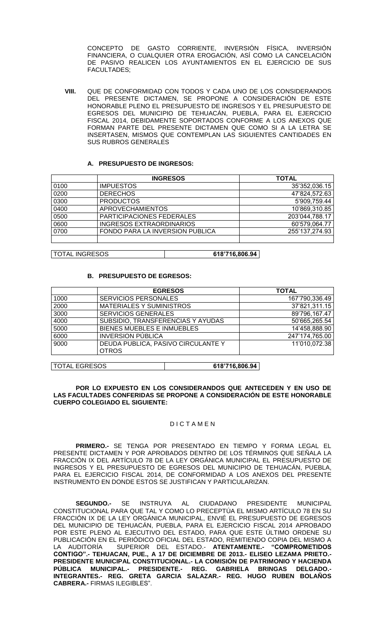CONCEPTO DE GASTO CORRIENTE, INVERSIÓN FÍSICA, INVERSIÓN FINANCIERA, O CUALQUIER OTRA EROGACIÓN, ASÍ COMO LA CANCELACIÓN DE PASIVO REALICEN LOS AYUNTAMIENTOS EN EL EJERCICIO DE SUS FACULTADES;

**VIII.** QUE DE CONFORMIDAD CON TODOS Y CADA UNO DE LOS CONSIDERANDOS DEL PRESENTE DICTAMEN, SE PROPONE A CONSIDERACIÓN DE ESTE HONORABLE PLENO EL PRESUPUESTO DE INGRESOS Y EL PRESUPUESTO DE EGRESOS DEL MUNICIPIO DE TEHUACÁN, PUEBLA, PARA EL EJERCICIO FISCAL 2014, DEBIDAMENTE SOPORTADOS CONFORME A LOS ANEXOS QUE FORMAN PARTE DEL PRESENTE DICTAMEN QUE COMO SI A LA LETRA SE INSERTASEN, MISMOS QUE CONTEMPLAN LAS SIGUIENTES CANTIDADES EN SUS RUBROS GENERALES

## **A. PRESUPUESTO DE INGRESOS:**

|      | <b>INGRESOS</b>                  | <b>TOTAL</b>   |
|------|----------------------------------|----------------|
| 0100 | <b>IMPUESTOS</b>                 | 35'352,036.15  |
| 0200 | <b>DERECHOS</b>                  | 47'824,572.63  |
| 0300 | <b>PRODUCTOS</b>                 | 5'909,759.44   |
| 0400 | <b>APROVECHAMIENTOS</b>          | 10'869,310.85  |
| 0500 | <b>PARTICIPACIONES FEDERALES</b> | 203'044,788.17 |
| 0600 | <b>INGRESOS EXTRAORDINARIOS</b>  | 60'579,064.77  |
| 0700 | FONDO PARA LA INVERSION PUBLICA  | 255'137,274.93 |
|      |                                  |                |

TOTAL INGRESOS **618'716,806.94**

## **B. PRESUPUESTO DE EGRESOS:**

|      | <b>EGRESOS</b>                                     | <b>TOTAL</b>   |
|------|----------------------------------------------------|----------------|
| 1000 | <b>SERVICIOS PERSONALES</b>                        | 167'790,336.49 |
| 2000 | <b>MATERIALES Y SUMINISTROS</b>                    | 37'821,311.15  |
| 3000 | <b>SERVICIOS GENERALES</b>                         | 89'796,167.47  |
| 4000 | SUBSIDIO, TRANSFERENCIAS Y AYUDAS                  | 50'665,265.54  |
| 5000 | BIENES MUEBLES E INMUEBLES                         | 14'458,888.90  |
| 6000 | <b>INVERSION PÚBLICA</b>                           | 247'174,765.00 |
| 9000 | DEUDA PUBLICA, PASIVO CIRCULANTE Y<br><b>OTROS</b> | 11'010,072.38  |
|      |                                                    |                |

TOTAL EGRESOS **618'716,806.94**

**POR LO EXPUESTO EN LOS CONSIDERANDOS QUE ANTECEDEN Y EN USO DE LAS FACULTADES CONFERIDAS SE PROPONE A CONSIDERACIÓN DE ESTE HONORABLE CUERPO COLEGIADO EL SIGUIENTE:**

#### **DICTAMEN**

**PRIMERO.-** SE TENGA POR PRESENTADO EN TIEMPO Y FORMA LEGAL EL PRESENTE DICTAMEN Y POR APROBADOS DENTRO DE LOS TÉRMINOS QUE SEÑALA LA FRACCIÓN IX DEL ARTÍCULO 78 DE LA LEY ORGÁNICA MUNICIPAL EL PRESUPUESTO DE INGRESOS Y EL PRESUPUESTO DE EGRESOS DEL MUNICIPIO DE TEHUACÁN, PUEBLA, PARA EL EJERCICIO FISCAL 2014, DE CONFORMIDAD A LOS ANEXOS DEL PRESENTE INSTRUMENTO EN DONDE ESTOS SE JUSTIFICAN Y PARTICULARIZAN.

**SEGUNDO.-** SE INSTRUYA AL CIUDADANO PRESIDENTE MUNICIPAL CONSTITUCIONAL PARA QUE TAL Y COMO LO PRECEPTÚA EL MISMO ARTÍCULO 78 EN SU FRACCIÓN IX DE LA LEY ORGÁNICA MUNICIPAL, ENVIÉ EL PRESUPUESTO DE EGRESOS DEL MUNICIPIO DE TEHUACÁN, PUEBLA, PARA EL EJERCICIO FISCAL 2014 APROBADO POR ESTE PLENO AL EJECUTIVO DEL ESTADO, PARA QUE ESTE ÚLTIMO ORDENE SU PUBLICACIÓN EN EL PERIÓDICO OFICIAL DEL ESTADO, REMITIENDO COPIA DEL MISMO A LA AUDITORÍA SUPERIOR DEL ESTADO.- **ATENTAMENTE.- "COMPROMETIDOS CONTIGO".- TEHUACAN, PUE., A 17 DE DICIEMBRE DE 2013.- ELISEO LEZAMA PRIETO.- PRESIDENTE MUNICIPAL CONSTITUCIONAL.- LA COMISIÓN DE PATRIMONIO Y HACIENDA PÚBLICA MUNICIPAL.- PRESIDENTE.- REG. GABRIELA BRINGAS DELGADO.- INTEGRANTES.- REG. GRETA GARCIA SALAZAR.- REG. HUGO RUBEN BOLAÑOS CABRERA.-** FIRMAS ILEGIBLES".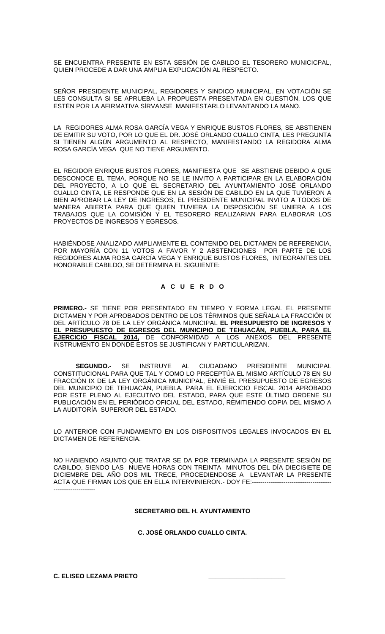SE ENCUENTRA PRESENTE EN ESTA SESIÓN DE CABILDO EL TESORERO MUNICICPAL, QUIEN PROCEDE A DAR UNA AMPLIA EXPLICACIÓN AL RESPECTO.

SEÑOR PRESIDENTE MUNICIPAL, REGIDORES Y SINDICO MUNICIPAL, EN VOTACIÓN SE LES CONSULTA SI SE APRUEBA LA PROPUESTA PRESENTADA EN CUESTIÓN, LOS QUE ESTÉN POR LA AFIRMATIVA SÍRVANSE MANIFESTARLO LEVANTANDO LA MANO.

LA REGIDORES ALMA ROSA GARCÍA VEGA Y ENRIQUE BUSTOS FLORES, SE ABSTIENEN DE EMITIR SU VOTO, POR LO QUE EL DR. JOSÉ ORLANDO CUALLO CINTA, LES PREGUNTA SI TIENEN ALGÚN ARGUMENTO AL RESPECTO, MANIFESTANDO LA REGIDORA ALMA ROSA GARCÍA VEGA QUE NO TIENE ARGUMENTO.

EL REGIDOR ENRIQUE BUSTOS FLORES, MANIFIESTA QUE SE ABSTIENE DEBIDO A QUE DESCONOCE EL TEMA, PORQUE NO SE LE INVITO A PARTICIPAR EN LA ELABORACIÓN DEL PROYECTO, A LO QUE EL SECRETARIO DEL AYUNTAMIENTO JOSÉ ORLANDO CUALLO CINTA, LE RESPONDE QUE EN LA SESIÓN DE CABILDO EN LA QUE TUVIERON A BIEN APROBAR LA LEY DE INGRESOS, EL PRESIDENTE MUNICIPAL INVITO A TODOS DE MANERA ABIERTA PARA QUE QUIEN TUVIERA LA DISPOSICIÓN SE UNIERA A LOS TRABAJOS QUE LA COMISIÓN Y EL TESORERO REALIZARIAN PARA ELABORAR LOS PROYECTOS DE INGRESOS Y EGRESOS.

HABIÉNDOSE ANALIZADO AMPLIAMENTE EL CONTENIDO DEL DICTAMEN DE REFERENCIA, POR MAYORÍA CON 11 VOTOS A FAVOR Y 2 ABSTENCIONES POR PARTE DE LOS REGIDORES ALMA ROSA GARCÍA VEGA Y ENRIQUE BUSTOS FLORES, INTEGRANTES DEL HONORABLE CABILDO, SE DETERMINA EL SIGUIENTE:

## **A C U E R D O**

**PRIMERO.-** SE TIENE POR PRESENTADO EN TIEMPO Y FORMA LEGAL EL PRESENTE DICTAMEN Y POR APROBADOS DENTRO DE LOS TÉRMINOS QUE SEÑALA LA FRACCIÓN IX DEL ARTÍCULO 78 DE LA LEY ORGÁNICA MUNICIPAL **EL PRESUPUESTO DE INGRESOS Y EL PRESUPUESTO DE EGRESOS DEL MUNICIPIO DE TEHUACÁN, PUEBLA, PARA EL EJERCICIO FISCAL 2014,** DE CONFORMIDAD A LOS ANEXOS DEL PRESENTE INSTRUMENTO EN DONDE ESTOS SE JUSTIFICAN Y PARTICULARIZAN.

**SEGUNDO.-** SE INSTRUYE AL CIUDADANO PRESIDENTE MUNICIPAL CONSTITUCIONAL PARA QUE TAL Y COMO LO PRECEPTÚA EL MISMO ARTÍCULO 78 EN SU FRACCIÓN IX DE LA LEY ORGÁNICA MUNICIPAL, ENVIÉ EL PRESUPUESTO DE EGRESOS DEL MUNICIPIO DE TEHUACÁN, PUEBLA, PARA EL EJERCICIO FISCAL 2014 APROBADO POR ESTE PLENO AL EJECUTIVO DEL ESTADO, PARA QUE ESTE ÚLTIMO ORDENE SU PUBLICACIÓN EN EL PERIÓDICO OFICIAL DEL ESTADO, REMITIENDO COPIA DEL MISMO A LA AUDITORÍA SUPERIOR DEL ESTADO.

LO ANTERIOR CON FUNDAMENTO EN LOS DISPOSITIVOS LEGALES INVOCADOS EN EL DICTAMEN DE REFERENCIA.

NO HABIENDO ASUNTO QUE TRATAR SE DA POR TERMINADA LA PRESENTE SESIÓN DE CABILDO, SIENDO LAS NUEVE HORAS CON TREINTA MINUTOS DEL DÍA DIECISIETE DE DICIEMBRE DEL AÑO DOS MIL TRECE, PROCEDIENDOSE A LEVANTAR LA PRESENTE ACTA QUE FIRMAN LOS QUE EN ELLA INTERVINIERON. - DOY FE:-------------------------------------

#### **SECRETARIO DEL H. AYUNTAMIENTO**

**C. JOSÉ ORLANDO CUALLO CINTA.**